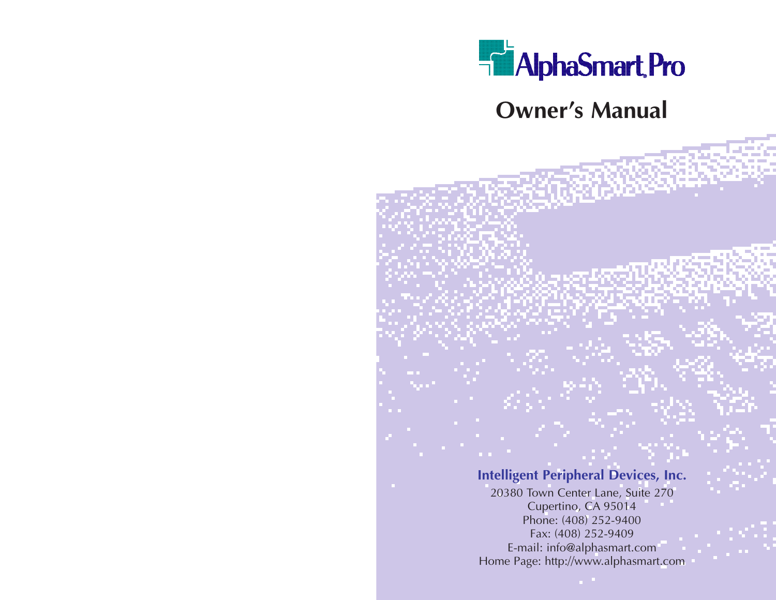

**Owner's Manual**

**Intelligent Peripheral Devices, Inc.**

20380 Town Center Lane, Suite 270 Cupertino, CA 95014 Phone: (408) 252-9400 Fax: (408) 252-9409 E-mail: info@alphasmart.com Home Page: http://www.alphasmart.com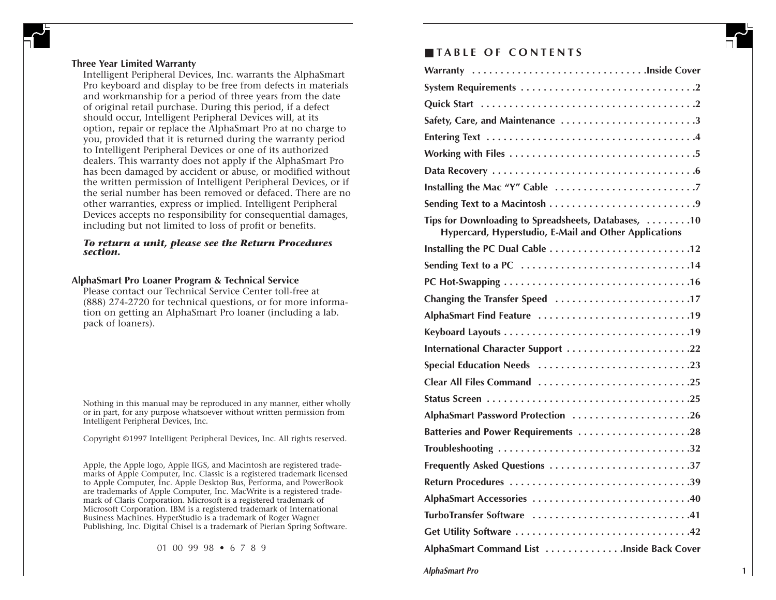#### **Three Year Limited Warranty**

Intelligent Peripheral Devices, Inc. warrants the AlphaSmart Pro keyboard and display to be free from defects in materials and workmanship for a period of three years from the date of original retail purchase. During this period, if a defect should occur, Intelligent Peripheral Devices will, at its option, repair or replace the AlphaSmart Pro at no charge to you, provided that it is returned during the warranty period to Intelligent Peripheral Devices or one of its authorized dealers. This warranty does not apply if the AlphaSmart Pro has been damaged by accident or abuse, or modified without the written permission of Intelligent Peripheral Devices, or if the serial number has been removed or defaced. There are no other warranties, express or implied. Intelligent Peripheral Devices accepts no responsibility for consequential damages, including but not limited to loss of profit or benefits.

#### *To return a unit, please see the Return Procedures section.*

#### **AlphaSmart Pro Loaner Program & Technical Service**

Please contact our Technical Service Center toll-free at (888) 274-2720 for technical questions, or for more information on getting an AlphaSmart Pro loaner (including a lab. pack of loaners).

Nothing in this manual may be reproduced in any manner, either wholly or in part, for any purpose whatsoever without written permission from Intelligent Peripheral Devices, Inc.

Copyright ©1997 Intelligent Peripheral Devices, Inc. All rights reserved.

Apple, the Apple logo, Apple IIGS, and Macintosh are registered trademarks of Apple Computer, Inc. Classic is a registered trademark licensed to Apple Computer, Inc. Apple Desktop Bus, Performa, and PowerBook are trademarks of Apple Computer, Inc. MacWrite is a registered trademark of Claris Corporation. Microsoft is a registered trademark of Microsoft Corporation. IBM is a registered trademark of International Business Machines. HyperStudio is a trademark of Roger Wagner Publishing, Inc. Digital Chisel is a trademark of Pierian Spring Software.

01 00 99 98 • 6 7 8 9

# ■ **TABLE OF CONTENTS**

| Warranty Inside Cover                                                                                        |
|--------------------------------------------------------------------------------------------------------------|
|                                                                                                              |
|                                                                                                              |
| Safety, Care, and Maintenance 3                                                                              |
|                                                                                                              |
|                                                                                                              |
|                                                                                                              |
|                                                                                                              |
|                                                                                                              |
| Tips for Downloading to Spreadsheets, Databases, 10<br>Hypercard, Hyperstudio, E-Mail and Other Applications |
| Installing the PC Dual Cable 12                                                                              |
|                                                                                                              |
|                                                                                                              |
| Changing the Transfer Speed 17                                                                               |
|                                                                                                              |
|                                                                                                              |
| International Character Support 22                                                                           |
| Special Education Needs 23                                                                                   |
| Clear All Files Command 25                                                                                   |
|                                                                                                              |
| AlphaSmart Password Protection 26                                                                            |
| Batteries and Power Requirements 28                                                                          |
|                                                                                                              |
| Frequently Asked Questions 37                                                                                |
| Return Procedures 39                                                                                         |
| AlphaSmart Accessories 40                                                                                    |
| TurboTransfer Software 41                                                                                    |
|                                                                                                              |
| AlphaSmart Command List Inside Back Cover                                                                    |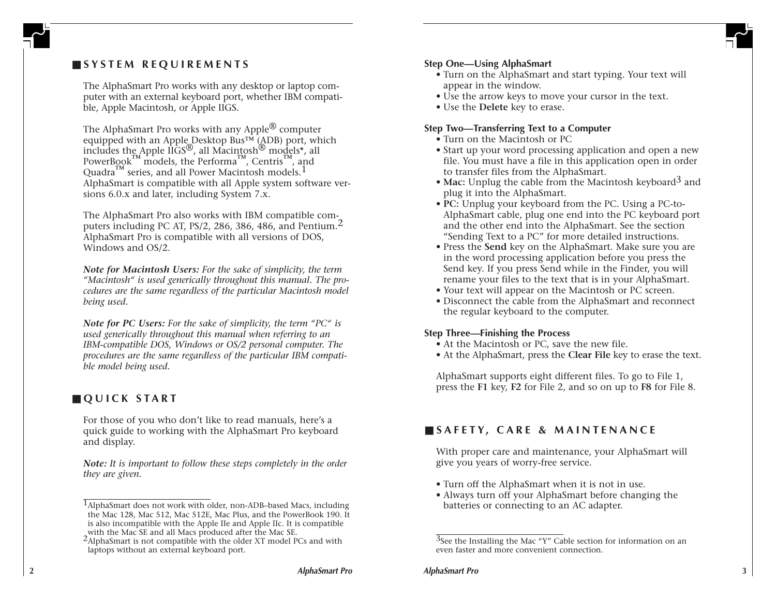# ■ **SYSTEM REQUIREMENTS**

The AlphaSmart Pro works with any desktop or laptop computer with an external keyboard port, whether IBM compatible, Apple Macintosh, or Apple IIGS.

The AlphaSmart Pro works with any Apple $^\circledR$  computer equipped with an Apple Desktop Bus<sup>TM</sup> (ADB) port, which includes the Apple IIGS ®, all Macintosh ® models\*, all PowerBook<sup> $M$ </sup> models, the Performa<sup> $M$ </sup>, Centris<sup>M</sup>, and Quadra<sup>™</sup> series, and all Power Macintosh models.<sup>1</sup> AlphaSmart is compatible with all Apple system software versions 6.0.x and later, including System 7.x.

The AlphaSmart Pro also works with IBM compatible computers including PC AT, PS/2, 286, 386, 486, and Pentium.<sup>2</sup> AlphaSmart Pro is compatible with all versions of DOS, Windows and OS/2.

*Note for Macintosh Users: For the sake of simplicity, the term "Macintosh" is used generically throughout this manual. The procedures are the same regardless of the particular Macintosh model being used.*

*Note for PC Users: For the sake of simplicity, the term "PC" is used generically throughout this manual when referring to an IBM-compatible DOS, Windows or OS/2 personal computer. The procedures are the same regardless of the particular IBM compatible model being used.*

# ■ **QUICK START**

For those of you who don't like to read manuals, here's a quick guide to working with the AlphaSmart Pro keyboard and display.

*Note: It is important to follow these steps completely in the order they are given.*

# **Step One—Using AlphaSmart**

- Turn on the AlphaSmart and start typing. Your text will appear in the window.
- Use the arrow keys to move your cursor in the text.
- Use the **Delete** key to erase.

# **Step Two—Transferring Text to a Computer**

- Turn on the Macintosh or PC
- Start up your word processing application and open a new file. You must have a file in this application open in order to transfer files from the AlphaSmart.
- **Mac:** Unplug the cable from the Macintosh keyboard 3 and plug it into the AlphaSmart.
- **PC:** Unplug your keyboard from the PC. Using a PC-to-AlphaSmart cable, plug one end into the PC keyboard port and the other end into the AlphaSmart. See the section "Sending Text to a PC" for more detailed instructions.
- Press the **Send** key on the AlphaSmart. Make sure you are in the word processing application before you press the Send key. If you press Send while in the Finder, you will rename your files to the text that is in your AlphaSmart.
- Your text will appear on the Macintosh or PC screen.
- Disconnect the cable from the AlphaSmart and reconnect the regular keyboard to the computer.

# **Step Three—Finishing the Process**

- At the Macintosh or PC, save the new file.
- At the AlphaSmart, press the **Clear File** key to erase the text.

AlphaSmart supports eight different files. To go to File 1, press the **F1** key, **F2** for File 2, and so on up to **F8** for File 8.

# ■ **SAFETY, CARE & MAINTENANCE**

With proper care and maintenance, your AlphaSmart will give you years of worry-free service.

- Turn off the AlphaSmart when it is not in use.
- Always turn off your AlphaSmart before changing the batteries or connecting to an AC adapter.

<sup>&</sup>lt;sup>1</sup>AlphaSmart does not work with older, non-ADB–based Macs, including<br>the Mac 128, Mac 512, Mac 512E, Mac Plus, and the PowerBook 190. It<br>is also incompatible with the Apple IIe and Apple IIc. It is compatible<br>with the Mac the Mac 128, Mac 512, Mac 512E, Mac Plus, and the PowerBook 190. It is also incompatible with the Apple IIe and Apple IIc. It is compatible with the Mac SE and all Macs produced after the Mac SE.

<sup>2</sup>AlphaSmart is not compatible with the older XT model PCs and with laptops without an external keyboard port.

<sup>&</sup>lt;sup>3</sup>See the Installing the Mac "Y" Cable section for information on an even faster and more convenient connection.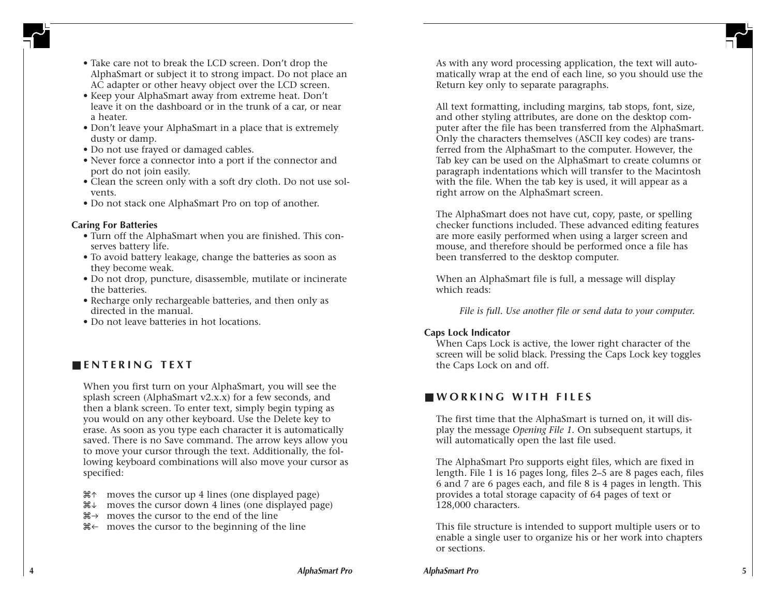- Take care not to break the LCD screen. Don't drop the AlphaSmart or subject it to strong impact. Do not place an AC adapter or other heavy object over the LCD screen.
- Keep your AlphaSmart away from extreme heat. Don't leave it on the dashboard or in the trunk of a car, or near a heater.
- Don't leave your AlphaSmart in a place that is extremely dusty or damp.
- Do not use frayed or damaged cables.
- Never force a connector into a port if the connector and port do not join easily.
- Clean the screen only with a soft dry cloth. Do not use solvents.
- Do not stack one AlphaSmart Pro on top of another.

# **Caring For Batteries**

- Turn off the AlphaSmart when you are finished. This conserves battery life.
- To avoid battery leakage, change the batteries as soon as they become weak.
- Do not drop, puncture, disassemble, mutilate or incinerate the batteries.
- Recharge only rechargeable batteries, and then only as directed in the manual.
- Do not leave batteries in hot locations.

# ■ **ENTERING TEXT**

When you first turn on your AlphaSmart, you will see the splash screen (AlphaSmart v2.x.x) for a few seconds, and then a blank screen. To enter text, simply begin typing as you would on any other keyboard. Use the Delete key to erase. As soon as you type each character it is automatically saved. There is no Save command. The arrow keys allow you to move your cursor through the text. Additionally, the following keyboard combinations will also move your cursor as specified:

- 
- $\mathcal{H}^{\uparrow}$  moves the cursor up 4 lines (one displayed page)  $\mathcal{H}^{\downarrow}$  moves the cursor to the end of the line  $\mathcal{H}^{\downarrow}$  moves the cursor to the beginning of the line
- 
- 

As with any word processing application, the text will automatically wrap at the end of each line, so you should use the Return key only to separate paragraphs.

All text formatting, including margins, tab stops, font, size, and other styling attributes, are done on the desktop computer after the file has been transferred from the AlphaSmart. Only the characters themselves (ASCII key codes) are transferred from the AlphaSmart to the computer. However, the Tab key can be used on the AlphaSmart to create columns or paragraph indentations which will transfer to the Macintosh with the file. When the tab key is used, it will appear as a right arrow on the AlphaSmart screen.

The AlphaSmart does not have cut, copy, paste, or spelling checker functions included. These advanced editing features are more easily performed when using a larger screen and mouse, and therefore should be performed once a file has been transferred to the desktop computer.

When an AlphaSmart file is full, a message will display which reads:

*File is full. Use another file or send data to your computer.*

# **Caps Lock Indicator**

When Caps Lock is active, the lower right character of the screen will be solid black. Pressing the Caps Lock key toggles the Caps Lock on and off.

# ■ **WORKING WITH FILES**

The first time that the AlphaSmart is turned on, it will display the message *Opening File 1.* On subsequent startups, it will automatically open the last file used.

The AlphaSmart Pro supports eight files, which are fixed in length. File 1 is 16 pages long, files 2–5 are 8 pages each, files 6 and 7 are 6 pages each, and file 8 is 4 pages in length. This provides a total storage capacity of 64 pages of text or 128,000 characters.

This file structure is intended to support multiple users or to enable a single user to organize his or her work into chapters or sections.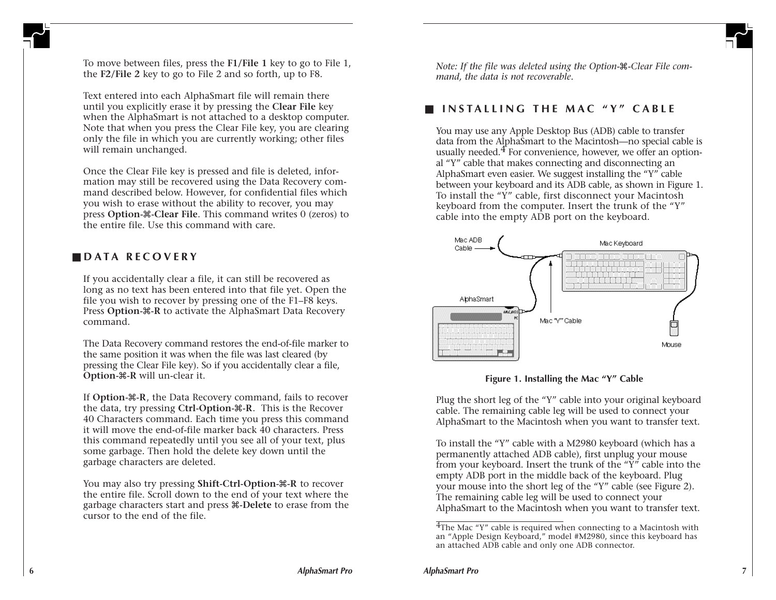To move between files, press the **F1/File 1** key to go to File 1, the **F2/File 2** key to go to File 2 and so forth, up to F8.

Text entered into each AlphaSmart file will remain there until you explicitly erase it by pressing the **Clear File** key when the AlphaSmart is not attached to a desktop computer. Note that when you press the Clear File key, you are clearing only the file in which you are currently working; other files will remain unchanged.

Once the Clear File key is pressed and file is deleted, information may still be recovered using the Data Recovery command described below. However, for confidential files which you wish to erase without the ability to recover, you may press **Option-**x**-Clear File**. This command writes 0 (zeros) to the entire file. Use this command with care.

# ■ **DATA RECOVERY**

If you accidentally clear a file, it can still be recovered as long as no text has been entered into that file yet. Open the file you wish to recover by pressing one of the F1–F8 keys. Press **Option-**x**-R** to activate the AlphaSmart Data Recovery command.

The Data Recovery command restores the end-of-file marker to the same position it was when the file was last cleared (by pressing the Clear File key). So if you accidentally clear a file, **Option-**x**-R** will un-clear it.

If **Option-** $\mathcal{R}$ . R, the Data Recovery command, fails to recover the data, try pressing **Ctrl-Option-**x**-R**. This is the Recover 40 Characters command. Each time you press this command it will move the end-of-file marker back 40 characters. Press this command repeatedly until you see all of your text, plus some garbage. Then hold the delete key down until the garbage characters are deleted.

You may also try pressing **Shift-Ctrl-Option-**&-R to recover the entire file. Scroll down to the end of your text where the garbage characters start and press x**-Delete** to erase from the cursor to the end of the file.

*Note: If the file was deleted using the Option-*x*-Clear File command, the data is not recoverable.*

# ■ **INSTALLING THE MAC "Y" CABLE**

You may use any Apple Desktop Bus (ADB) cable to transfer data from the AlphaSmart to the Macintosh—no special cable is usually needed.<sup>4</sup> For convenience, however, we offer an optional "Y" cable that makes connecting and disconnecting an AlphaSmart even easier. We suggest installing the "Y" cable between your keyboard and its ADB cable, as shown in Figure 1. To install the "Y" cable, first disconnect your Macintosh keyboard from the computer. Insert the trunk of the "Y" cable into the empty ADB port on the keyboard.





Plug the short leg of the "Y" cable into your original keyboard cable. The remaining cable leg will be used to connect your AlphaSmart to the Macintosh when you want to transfer text.

To install the "Y" cable with a M2980 keyboard (which has a permanently attached ADB cable), first unplug your mouse from your keyboard. Insert the trunk of the "Y" cable into the empty ADB port in the middle back of the keyboard. Plug your mouse into the short leg of the "Y" cable (see Figure 2). The remaining cable leg will be used to connect your AlphaSmart to the Macintosh when you want to transfer text.

<sup>4</sup>The Mac "Y" cable is required when connecting to a Macintosh with an "Apple Design Keyboard," model #M2980, since this keyboard has an attached ADB cable and only one ADB connector.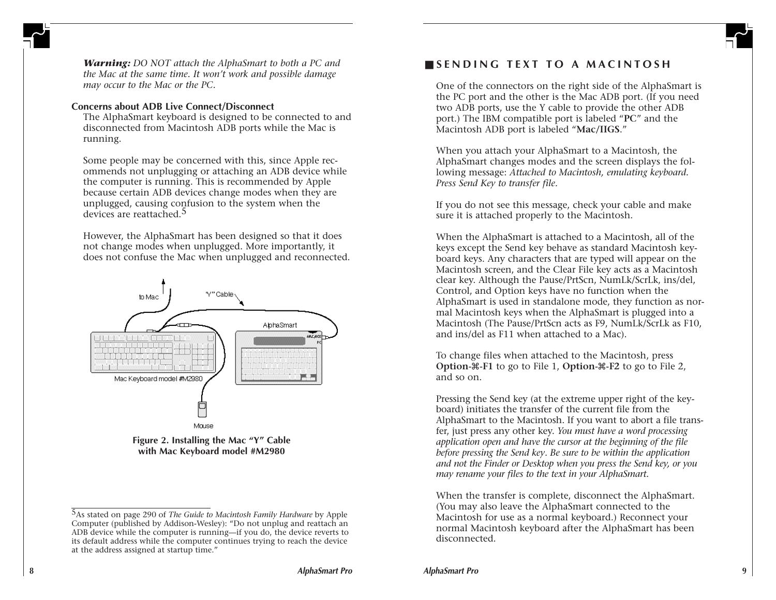

*Warning: DO NOT attach the AlphaSmart to both a PC and the Mac at the same time. It won't work and possible damage may occur to the Mac or the PC.*

#### **Concerns about ADB Live Connect/Disconnect**

The AlphaSmart keyboard is designed to be connected to and disconnected from Macintosh ADB ports while the Mac is running.

Some people may be concerned with this, since Apple recommends not unplugging or attaching an ADB device while the computer is running. This is recommended by Apple because certain ADB devices change modes when they are unplugged, causing confusion to the system when the devices are reattached.<sup>5</sup>

However, the AlphaSmart has been designed so that it does not change modes when unplugged. More importantly, it does not confuse the Mac when unplugged and reconnected.



**with Mac Keyboard model #M2980**

# ■ **SENDING TEXT TO A MACINTOSH**

One of the connectors on the right side of the AlphaSmart is the PC port and the other is the Mac ADB port. (If you need two ADB ports, use the Y cable to provide the other ADB port.) The IBM compatible port is labeled "**PC**" and the Macintosh ADB port is labeled "**Mac/IIGS**."

When you attach your AlphaSmart to a Macintosh, the AlphaSmart changes modes and the screen displays the following message: *Attached to Macintosh, emulating keyboard. Press Send Key to transfer file.*

If you do not see this message, check your cable and make sure it is attached properly to the Macintosh.

When the AlphaSmart is attached to a Macintosh, all of the keys except the Send key behave as standard Macintosh keyboard keys. Any characters that are typed will appear on the Macintosh screen, and the Clear File key acts as a Macintosh clear key. Although the Pause/PrtScn, NumLk/ScrLk, ins/del, Control, and Option keys have no function when the AlphaSmart is used in standalone mode, they function as normal Macintosh keys when the AlphaSmart is plugged into a Macintosh (The Pause/PrtScn acts as F9, NumLk/ScrLk as F10, and ins/del as F11 when attached to a Mac).

To change files when attached to the Macintosh, press **Option-**x**-F1** to go to File 1, **Option-**x**-F2** to go to File 2, and so on.

Pressing the Send key (at the extreme upper right of the keyboard) initiates the transfer of the current file from the AlphaSmart to the Macintosh. If you want to abort a file transfer, just press any other key. *You must have a word processing application open and have the cursor at the beginning of the file before pressing the Send key*. *Be sure to be within the application and not the Finder or Desktop when you press the Send key, or you may rename your files to the text in your AlphaSmart.*

When the transfer is complete, disconnect the AlphaSmart. (You may also leave the AlphaSmart connected to the Macintosh for use as a normal keyboard.) Reconnect your normal Macintosh keyboard after the AlphaSmart has been disconnected.

<sup>&</sup>lt;sup>5</sup>As stated on page 290 of *The Guide to Macintosh Family Hardware* by Apple Computer (published by Addison-Wesley): "Do not unplug and reattach an ADB device while the computer is running—if you do, the device reverts to Computer (published by Addison-Wesley): "Do not unplug and reattach an ADB device while the computer is running—if you do, the device reverts to its default address while the computer continues trying to reach the device at the address assigned at startup time."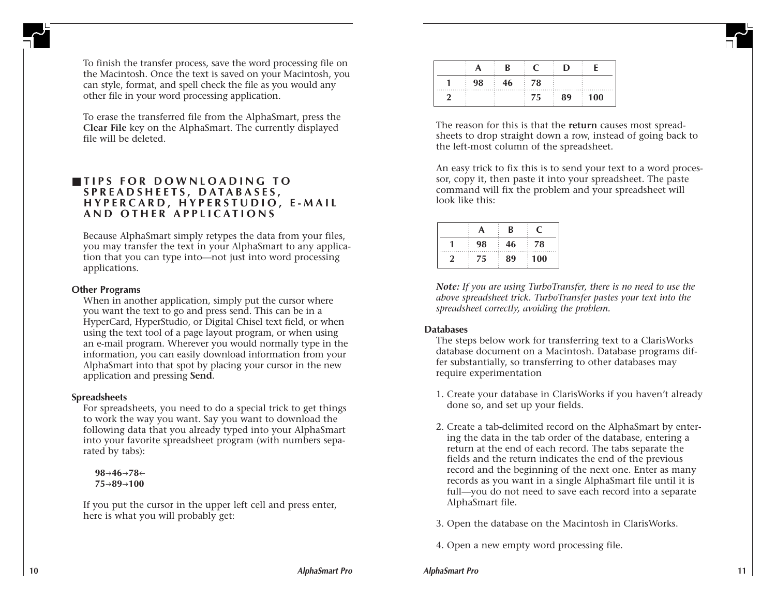To finish the transfer process, save the word processing file on the Macintosh. Once the text is saved on your Macintosh, you can style, format, and spell check the file as you would any other file in your word processing application.

To erase the transferred file from the AlphaSmart, press the **Clear File** key on the AlphaSmart. The currently displayed file will be deleted.

# ■ **TIPS FOR DOWNLOADING TO SPREADSHEETS, DATABASES, HYPERCARD, HYPERSTUDIO, E-MAIL AND OTHER APPLICATIONS**

Because AlphaSmart simply retypes the data from your files, you may transfer the text in your AlphaSmart to any application that you can type into—not just into word processing applications.

#### **Other Programs**

When in another application, simply put the cursor where you want the text to go and press send. This can be in a HyperCard, HyperStudio, or Digital Chisel text field, or when using the text tool of a page layout program, or when using an e-mail program. Wherever you would normally type in the information, you can easily download information from your AlphaSmart into that spot by placing your cursor in the new application and pressing **Send**.

### **Spreadsheets**

For spreadsheets, you need to do a special trick to get things to work the way you want. Say you want to download the following data that you already typed into your AlphaSmart into your favorite spreadsheet program (with numbers separated by tabs):

**98→46→78← 75**l**89**l**100**

If you put the cursor in the upper left cell and press enter, here is what you will probably get:

|  | 78. |                    |
|--|-----|--------------------|
|  |     | ነበ<br>$\mathbf{v}$ |

The reason for this is that the **return** causes most spreadsheets to drop straight down a row, instead of going back to the left-most column of the spreadsheet.

An easy trick to fix this is to send your text to a word processor, copy it, then paste it into your spreadsheet. The paste command will fix the problem and your spreadsheet will look like this:

|    | R  |    |
|----|----|----|
| 98 |    | 78 |
| 5  | 89 | 00 |

*Note: If you are using TurboTransfer, there is no need to use the above spreadsheet trick. TurboTransfer pastes your text into the spreadsheet correctly, avoiding the problem.*

### **Databases**

The steps below work for transferring text to a ClarisWorks database document on a Macintosh. Database programs differ substantially, so transferring to other databases may require experimentation

- 1. Create your database in ClarisWorks if you haven't already done so, and set up your fields.
- 2. Create a tab-delimited record on the AlphaSmart by entering the data in the tab order of the database, entering a return at the end of each record. The tabs separate the fields and the return indicates the end of the previous record and the beginning of the next one. Enter as many records as you want in a single AlphaSmart file until it is full—you do not need to save each record into a separate AlphaSmart file.
- 3. Open the database on the Macintosh in ClarisWorks.
- 4. Open a new empty word processing file.

**AlphaSmart Pro 11**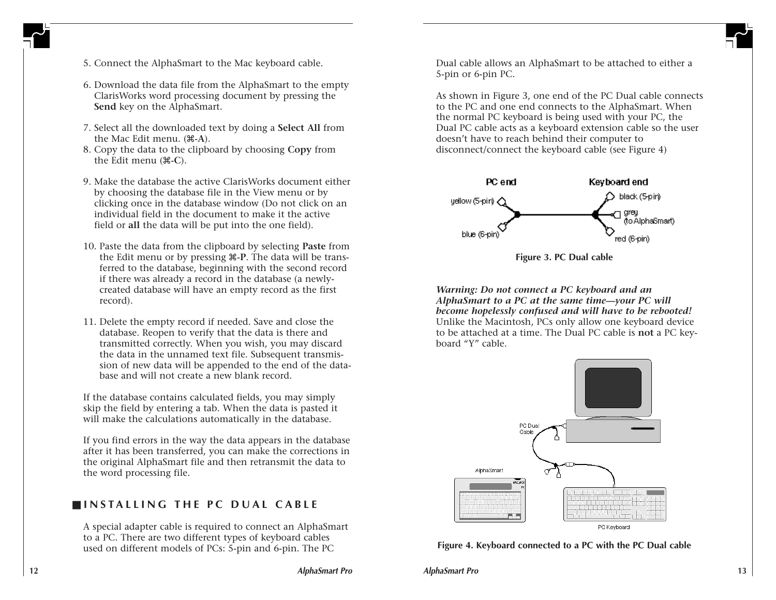

- 5. Connect the AlphaSmart to the Mac keyboard cable.
- 6. Download the data file from the AlphaSmart to the empty ClarisWorks word processing document by pressing the **Send** key on the AlphaSmart.
- 7. Select all the downloaded text by doing a **Select All** from the Mac Edit menu. (x**-A**).
- 8. Copy the data to the clipboard by choosing **Copy** from the Edit menu ( $\text{\#-C}$ ).
- 9. Make the database the active ClarisWorks document either by choosing the database file in the View menu or by clicking once in the database window (Do not click on an individual field in the document to make it the active field or **all** the data will be put into the one field).
- 10. Paste the data from the clipboard by selecting **Paste** from the Edit menu or by pressing x**-P**. The data will be transferred to the database, beginning with the second record if there was already a record in the database (a newlycreated database will have an empty record as the first record).
- 11. Delete the empty record if needed. Save and close the database. Reopen to verify that the data is there and transmitted correctly. When you wish, you may discard the data in the unnamed text file. Subsequent transmission of new data will be appended to the end of the database and will not create a new blank record.

If the database contains calculated fields, you may simply skip the field by entering a tab. When the data is pasted it will make the calculations automatically in the database.

If you find errors in the way the data appears in the database after it has been transferred, you can make the corrections in the original AlphaSmart file and then retransmit the data to the word processing file.

# ■ **INSTALLING THE PC DUAL CABLE**

A special adapter cable is required to connect an AlphaSmart to a PC. There are two different types of keyboard cables used on different models of PCs: 5-pin and 6-pin. The PC

Dual cable allows an AlphaSmart to be attached to either a 5-pin or 6-pin PC.

As shown in Figure 3, one end of the PC Dual cable connects to the PC and one end connects to the AlphaSmart. When the normal PC keyboard is being used with your PC, the Dual PC cable acts as a keyboard extension cable so the user doesn't have to reach behind their computer to disconnect/connect the keyboard cable (see Figure 4)





*Warning: Do not connect a PC keyboard and an AlphaSmart to a PC at the same time—your PC will become hopelessly confused and will have to be rebooted!* Unlike the Macintosh, PCs only allow one keyboard device to be attached at a time. The Dual PC cable is **not** a PC keyboard "Y" cable.



#### **Figure 4. Keyboard connected to a PC with the PC Dual cable**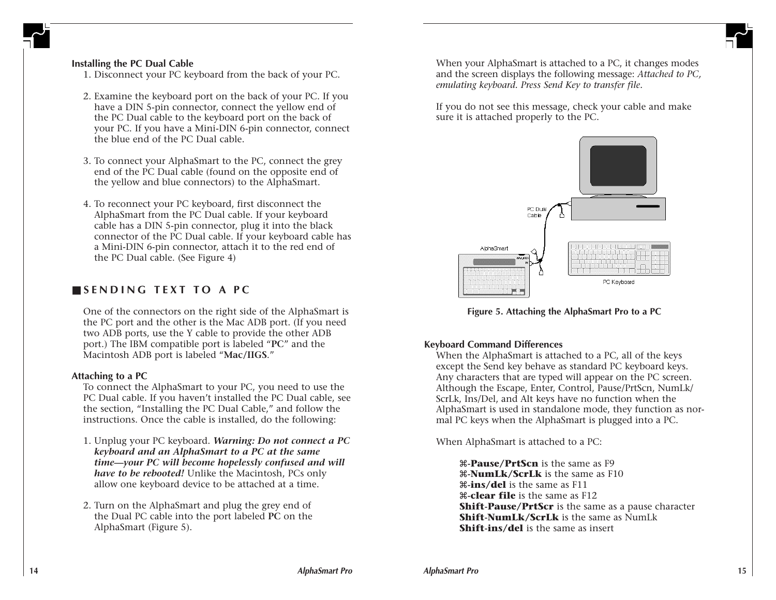

### **Installing the PC Dual Cable**

1. Disconnect your PC keyboard from the back of your PC.

- 2. Examine the keyboard port on the back of your PC. If you have a DIN 5-pin connector, connect the yellow end of the PC Dual cable to the keyboard port on the back of your PC. If you have a Mini-DIN 6-pin connector, connect the blue end of the PC Dual cable.
- 3. To connect your AlphaSmart to the PC, connect the grey end of the PC Dual cable (found on the opposite end of the yellow and blue connectors) to the AlphaSmart.
- 4. To reconnect your PC keyboard, first disconnect the AlphaSmart from the PC Dual cable. If your keyboard cable has a DIN 5-pin connector, plug it into the black connector of the PC Dual cable. If your keyboard cable has a Mini-DIN 6-pin connector, attach it to the red end of the PC Dual cable. (See Figure 4)

# ■ **SENDING TEXT TO A PC**

One of the connectors on the right side of the AlphaSmart is the PC port and the other is the Mac ADB port. (If you need two ADB ports, use the Y cable to provide the other ADB port.) The IBM compatible port is labeled "**PC**" and the Macintosh ADB port is labeled "**Mac/IIGS**."

#### **Attaching to a PC**

To connect the AlphaSmart to your PC, you need to use the PC Dual cable. If you haven't installed the PC Dual cable, see the section, "Installing the PC Dual Cable," and follow the instructions. Once the cable is installed, do the following:

- 1. Unplug your PC keyboard. *Warning: Do not connect a PC keyboard and an AlphaSmart to a PC at the same time—your PC will become hopelessly confused and will have to be rebooted!* Unlike the Macintosh, PCs only allow one keyboard device to be attached at a time.
- 2. Turn on the AlphaSmart and plug the grey end of the Dual PC cable into the port labeled **PC** on the AlphaSmart (Figure 5).

When your AlphaSmart is attached to a PC, it changes modes and the screen displays the following message: *Attached to PC, emulating keyboard. Press Send Key to transfer file.*

If you do not see this message, check your cable and make sure it is attached properly to the PC.



**Figure 5. Attaching the AlphaSmart Pro to a PC**

### **Keyboard Command Differences**

When the AlphaSmart is attached to a PC, all of the keys except the Send key behave as standard PC keyboard keys. Any characters that are typed will appear on the PC screen. Although the Escape, Enter, Control, Pause/PrtScn, NumLk/ ScrLk, Ins/Del, and Alt keys have no function when the AlphaSmart is used in standalone mode, they function as normal PC keys when the AlphaSmart is plugged into a PC.

When AlphaSmart is attached to a PC:

x**-Pause/PrtScn** is the same as F9 x**-NumLk/ScrLk** is the same as F10 x**-ins/del** is the same as F11 x**-clear file** is the same as F12 **Shift-Pause/PrtScr** is the same as a pause character **Shift-NumLk/ScrLk** is the same as NumLk **Shift-ins/del** is the same as insert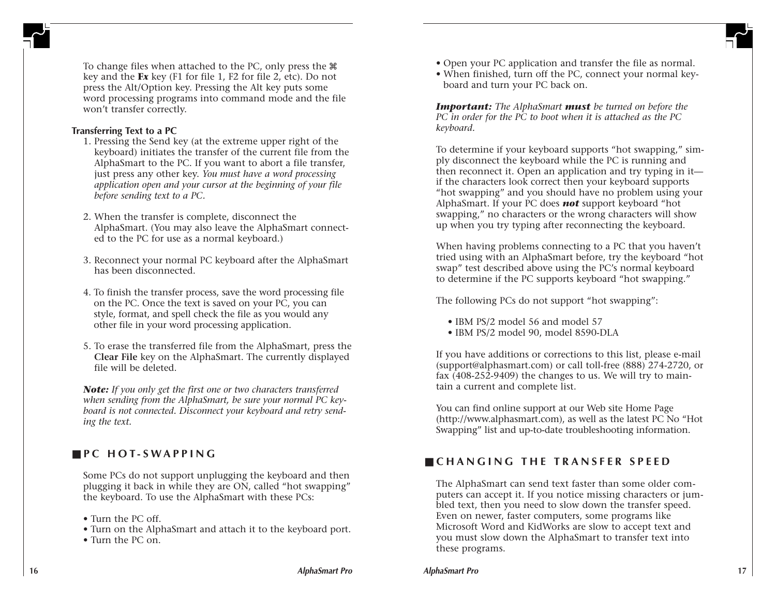

To change files when attached to the PC, only press the  $\mathcal{H}$ key and the **F***x* key (F1 for file 1, F2 for file 2, etc). Do not press the Alt/Option key. Pressing the Alt key puts some word processing programs into command mode and the file won't transfer correctly.

### **Transferring Text to a PC**

- 1. Pressing the Send key (at the extreme upper right of the keyboard) initiates the transfer of the current file from the AlphaSmart to the PC. If you want to abort a file transfer, just press any other key. *You must have a word processing application open and your cursor at the beginning of your file before sending text to a PC.*
- 2. When the transfer is complete, disconnect the AlphaSmart. (You may also leave the AlphaSmart connected to the PC for use as a normal keyboard.)
- 3. Reconnect your normal PC keyboard after the AlphaSmart has been disconnected.
- 4. To finish the transfer process, save the word processing file on the PC. Once the text is saved on your PC, you can style, format, and spell check the file as you would any other file in your word processing application.
- 5. To erase the transferred file from the AlphaSmart, press the **Clear File** key on the AlphaSmart. The currently displayed file will be deleted.

*Note: If you only get the first one or two characters transferred when sending from the AlphaSmart, be sure your normal PC keyboard is not connected. Disconnect your keyboard and retry sending the text.*

# ■ **PC HOT-SWAPPING**

Some PCs do not support unplugging the keyboard and then plugging it back in while they are ON, called "hot swapping" the keyboard. To use the AlphaSmart with these PCs:

• Turn the PC off.

- Turn on the AlphaSmart and attach it to the keyboard port.
- Turn the PC on.
- Open your PC application and transfer the file as normal.
- When finished, turn off the PC, connect your normal keyboard and turn your PC back on.

*Important: The AlphaSmart must be turned on before the PC in order for the PC to boot when it is attached as the PC keyboard.*

To determine if your keyboard supports "hot swapping," simply disconnect the keyboard while the PC is running and then reconnect it. Open an application and try typing in it if the characters look correct then your keyboard supports "hot swapping" and you should have no problem using your AlphaSmart. If your PC does *not* support keyboard "hot swapping," no characters or the wrong characters will show up when you try typing after reconnecting the keyboard.

When having problems connecting to a PC that you haven't tried using with an AlphaSmart before, try the keyboard "hot swap" test described above using the PC's normal keyboard to determine if the PC supports keyboard "hot swapping."

The following PCs do not support "hot swapping":

- IBM PS/2 model 56 and model 57
- IBM PS/2 model 90, model 8590-DLA

If you have additions or corrections to this list, please e-mail (support@alphasmart.com) or call toll-free (888) 274-2720, or fax (408-252-9409) the changes to us. We will try to maintain a current and complete list.

You can find online support at our Web site Home Page (http://www.alphasmart.com), as well as the latest PC No "Hot Swapping" list and up-to-date troubleshooting information.

# ■ **CHANGING THE TRANSFER SPEED**

The AlphaSmart can send text faster than some older computers can accept it. If you notice missing characters or jumbled text, then you need to slow down the transfer speed. Even on newer, faster computers, some programs like Microsoft Word and KidWorks are slow to accept text and you must slow down the AlphaSmart to transfer text into these programs.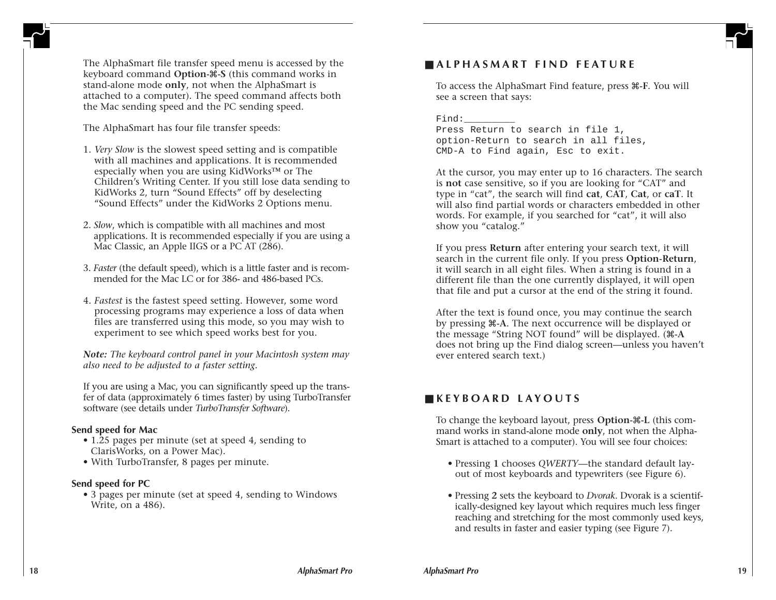

The AlphaSmart file transfer speed menu is accessed by the keyboard command **Option-**x**-S** (this command works in stand-alone mode **only**, not when the AlphaSmart is attached to a computer). The speed command affects both the Mac sending speed and the PC sending speed.

The AlphaSmart has four file transfer speeds:

- 1. *Very Slow* is the slowest speed setting and is compatible with all machines and applications. It is recommended especially when you are using KidWorks™ or The Children's Writing Center. If you still lose data sending to KidWorks 2, turn "Sound Effects" off by deselecting "Sound Effects" under the KidWorks 2 Options menu.
- 2. *Slow*, which is compatible with all machines and most applications. It is recommended especially if you are using a Mac Classic, an Apple IIGS or a PC AT (286).
- 3. *Faster* (the default speed), which is a little faster and is recommended for the Mac LC or for 386- and 486-based PCs.
- 4. *Fastest* is the fastest speed setting. However, some word processing programs may experience a loss of data when files are transferred using this mode, so you may wish to experiment to see which speed works best for you.

*Note: The keyboard control panel in your Macintosh system may also need to be adjusted to a faster setting.*

If you are using a Mac, you can significantly speed up the transfer of data (approximately 6 times faster) by using TurboTransfer software (see details under *TurboTransfer Software*).

### **Send speed for Mac**

- 1.25 pages per minute (set at speed 4, sending to ClarisWorks, on a Power Mac).
- With TurboTransfer, 8 pages per minute.

# **Send speed for PC**

• 3 pages per minute (set at speed 4, sending to Windows Write, on a 486).

# ■ **ALPHASMART FIND FEATURE**

To access the AlphaSmart Find feature, press x**-F**. You will see a screen that says:

Find:

Press Return to search in file 1, option-Return to search in all files, CMD-A to Find again, Esc to exit.

At the cursor, you may enter up to 16 characters. The search is **not** case sensitive, so if you are looking for "CAT" and type in "cat", the search will find **cat**, **CAT**, **Cat**, or **caT**. It will also find partial words or characters embedded in other words. For example, if you searched for "cat", it will also show you "catalog."

If you press **Return** after entering your search text, it will search in the current file only. If you press **Option-Return**, it will search in all eight files. When a string is found in a different file than the one currently displayed, it will open that file and put a cursor at the end of the string it found.

After the text is found once, you may continue the search by pressing x**-A**. The next occurrence will be displayed or the message "String NOT found" will be displayed. ( $\#$ -A does not bring up the Find dialog screen—unless you haven't ever entered search text.)

# ■ **KEYBOARD LAYOUTS**

To change the keyboard layout, press **Option-**x**-L** (this command works in stand-alone mode **only**, not when the Alpha-Smart is attached to a computer). You will see four choices:

- Pressing **1** chooses *QWERTY*—the standard default layout of most keyboards and typewriters (see Figure 6).
- Pressing **2** sets the keyboard to *Dvorak*. Dvorak is a scientifically-designed key layout which requires much less finger reaching and stretching for the most commonly used keys, and results in faster and easier typing (see Figure 7).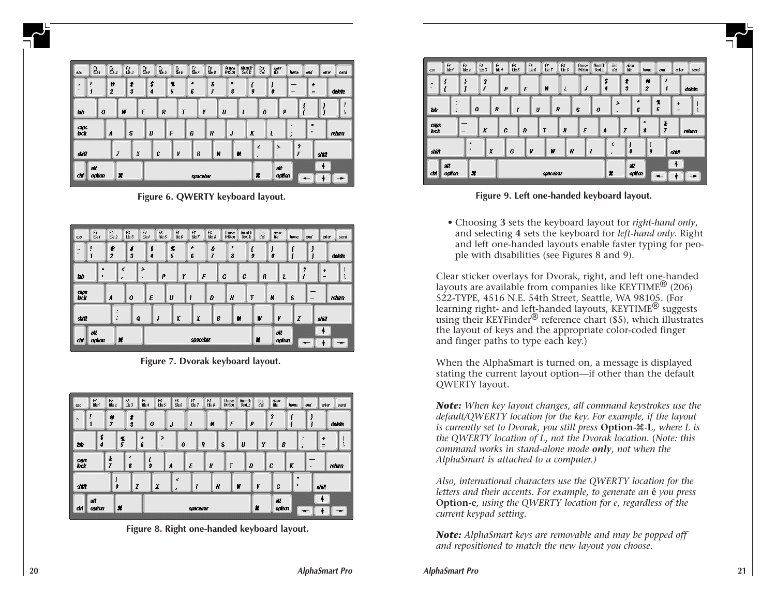| esc          | Fr<br>Ble f   | $\frac{F2}{Be2}$    | $\frac{F3}{f4E}$ |                              | Fø<br>Me ø | FS<br>File S | F6<br>Me6 | $\frac{67}{86}$ | F8<br>file 8  | Pause<br>PriSon | MumLk<br>Sext k | ins<br>del       | dear<br>Ele        | home                                                              | end           | anter<br>send |
|--------------|---------------|---------------------|------------------|------------------------------|------------|--------------|-----------|-----------------|---------------|-----------------|-----------------|------------------|--------------------|-------------------------------------------------------------------|---------------|---------------|
|              | Ţ<br>ſ        | e<br>$\overline{z}$ |                  | ŧ<br>$\overline{\mathbf{3}}$ | \$<br>4    |              | X<br>5    | A<br>6          | $\frac{t}{I}$ | $\pmb{z}$<br>8  | ŝ               |                  | ô                  | $\overline{\phantom{0}}$                                          | ÷<br>$\equiv$ | delete        |
| tao          | Q             |                     | W                | Ε                            |            | R            | Ţ         |                 | Y             | U               |                 | $\boldsymbol{o}$ | р                  | ł                                                                 |               |               |
| caps<br>lock |               | A                   | S                |                              | Ð          |              | F         | G               | Н             | J               | K               |                  |                    | $\blacksquare$<br>$\overline{\phantom{a}}$<br>$\blacksquare$<br>, | ٠             | return        |
| shift        |               | Z                   |                  | $\pmb{\chi}$                 |            | C            | v         | 8               | N             |                 | и               | ₹<br>,           | $\rightarrow$<br>٠ | 2<br>1                                                            | shift         |               |
| chi          | alt<br>option |                     | ×                |                              |            | spacebar     |           |                 |               |                 |                 | ×                | ałt<br>option      |                                                                   |               |               |

**Figure 6. QWERTY keyboard layout.**

| eso            | Ff<br>Elle f  | $\frac{F2}{Be2}$                           | F3<br>値3              | F4<br>Ele4 | F6<br>Me6<br>FS<br>File S | $\frac{67}{86}$ | F8<br>file 8          | Rause<br>PriSon | MumLk<br>SorLic | ins<br>del | dear<br>Ele   | home | end   | anter<br>send    |
|----------------|---------------|--------------------------------------------|-----------------------|------------|---------------------------|-----------------|-----------------------|-----------------|-----------------|------------|---------------|------|-------|------------------|
| $\overline{ }$ | ſ             | е<br>$\overline{z}$                        | 4<br>$\boldsymbol{3}$ | \$<br>4    | X<br>5                    | ۸<br>6          | $\boldsymbol{t}$<br>7 | $\pmb{x}$<br>8  | \$              |            | ô             |      |       | delete           |
| tac            |               | ٠                                          | ∢                     | >          | p                         | Y<br>F          |                       | G               | C               | R          |               |      | 2     | $\ddot{}$<br>$=$ |
| caps<br>lock   |               | A                                          | 0                     | Ε          | U                         |                 | Ð                     | H               | Ţ               |            | N             | s    |       | return           |
| shift          |               | $\overline{\phantom{a}}$<br>$\blacksquare$ | Q                     | J          | K                         | X               | B                     | и               |                 | W          | V             | Z    | shift |                  |
| chi            | alt<br>option | ×                                          |                       |            | spacebar                  |                 |                       |                 |                 | ×          | att<br>option |      |       |                  |

**Figure 7. Dvorak keyboard layout.**



**Figure 8. Right one-handed keyboard layout.**

| esc          | Fr<br>Ble t  | f2<br>配2       | F3<br>任3 | F4<br>Ele4 | FS<br>FILe S | $\frac{F6}{E4}$ | $\frac{f7}{f2e}$ | F8<br>file 8 | Rause<br>PriSon | MumLk<br>Ĵлs<br>del<br>Soft | dear<br>Ele        | home                | end           | anter<br>send            |
|--------------|--------------|----------------|----------|------------|--------------|-----------------|------------------|--------------|-----------------|-----------------------------|--------------------|---------------------|---------------|--------------------------|
| $\sim$       |              |                | 2<br>I   | ρ          | F            | и               |                  | Ł            | J               | s<br>4                      | ŧ<br>3             | e<br>$\overline{z}$ | ì<br>ſ        | delete                   |
| tas          | ٠            |                | Q        | 8          | Y            | IJ              | R                | S            | 0               |                             | $\rightarrow$<br>٠ | ۸<br>6              | X<br>5        | $\mathbf{r}$<br>$\equiv$ |
| caps<br>lock |              | -              | К        | C          | Ð            | Ţ               |                  | Н            | E               | A                           | Z                  | ×<br>8              | $\frac{t}{I}$ | return                   |
| shift        |              | $\blacksquare$ | X        |            | G            | v               | W                | N            |                 | ₹<br>,                      | J<br>o             |                     | ŷ             | shift                    |
| chi          | аł<br>option | ×              |          |            | spacebar     |                 |                  |              |                 |                             |                    | ałt<br>option       |               | ۰                        |

**Figure 9. Left one-handed keyboard layout.**

• Choosing **3** sets the keyboard layout for *right-hand only*, and selecting **4** sets the keyboard for *left-hand only*. Right and left one-handed layouts enable faster typing for people with disabilities (see Figures 8 and 9).

Clear sticker overlays for Dvorak, right, and left one-handed layouts are available from companies like KEYTIME<sup> $®$ </sup> (206) 522-TYPE, 4516 N.E. 54th Street, Seattle, WA 98105. (For learning right- and left-handed layouts, KEYTIME<sup>®</sup> suggests using their KEYFinder<sup>®</sup> reference chart (\$5), which illustrates the layout of keys and the appropriate color-coded finger and finger paths to type each key.)

When the AlphaSmart is turned on, a message is displayed stating the current layout option—if other than the default QWERTY layout.

*Note: When key layout changes, all command keystrokes use the default/QWERTY location for the key. For example, if the layout is currently set to Dvorak, you still press* **Option-**x**-L***, where L is the QWERTY location of L, not the Dvorak location.* (*Note: this command works in stand-alone mode only, not when the AlphaSmart is attached to a computer.)*

*Also, international characters use the QWERTY location for the letters and their accents. For example, to generate an* **é** *you press* **Option-e***, using the QWERTY location for e, regardless of the current keypad setting.*

*Note: AlphaSmart keys are removable and may be popped off and repositioned to match the new layout you choose.*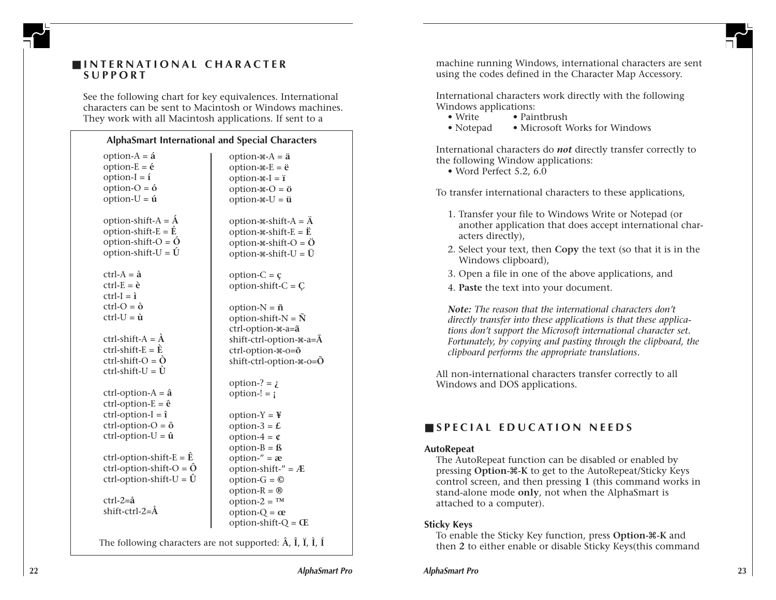

# ■ **INTERNATIONAL CHARACTER SUPPORT**

See the following chart for key equivalences. International characters can be sent to Macintosh or Windows machines. They work with all Macintosh applications. If sent to a

#### **AlphaSmart International and Special Characters**

| option- $A = \acute{a}$<br>option- $E = \acute{e}$<br>option- $I = i$<br>option- $O = 6$<br>option- $U = \acute{u}$         | option- $A = \ddot{a}$<br>option- $\angle E = \ddot{e}$<br>option- $\#$ - $I = i$<br>option- $\angle A - \ddot{\theta}$<br>option- $\mathscr{H}$ -U = $\ddot{\mathbf{u}}$ |
|-----------------------------------------------------------------------------------------------------------------------------|---------------------------------------------------------------------------------------------------------------------------------------------------------------------------|
| option-shift- $A = \hat{A}$<br>option-shift- $E = \hat{E}$<br>option-shift- $O = \acute{O}$<br>option-shift-U = $\acute{U}$ | option- $\ast$ -shift-A = $\ddot{A}$<br>option- $\angle$ -shift- $E = \ddot{E}$<br>option- $\ast$ -shift-O = $\ddot{O}$<br>option- $\ast$ -shift-U = $\ddot{U}$           |
| $ctrl - A = \hat{a}$<br>$ctrl - E = \tilde{e}$<br>$ctrl - I = i$<br>$ctrl - Q = \delta$                                     | option- $C = \mathfrak{c}$<br>option-shift- $C = C$<br>option- $N = \tilde{n}$                                                                                            |
| $ctrl$ -U = $\hat{u}$                                                                                                       | option-shift- $N = \tilde{N}$<br>ctrl-option-*-a=a                                                                                                                        |
| ctrl-shift-A = $\hat{A}$                                                                                                    | shift-ctrl-option- $\angle a = \tilde{A}$                                                                                                                                 |
| ctrl-shift- $E = \tilde{E}$                                                                                                 | ctrl-option-*-o=õ                                                                                                                                                         |
| $ctrl$ -shift- $O = \tilde{O}$<br>$ctrl$ -shift-U = $\dot{U}$                                                               | shift-ctrl-option- $\ast$ -o= $\tilde{O}$                                                                                                                                 |
|                                                                                                                             | option-? = $\lambda$                                                                                                                                                      |
| $ctrl$ -option-A = $\hat{a}$                                                                                                | option- $!=$ $\mathbf{i}$                                                                                                                                                 |
| ctrl-option- $E = \hat{e}$                                                                                                  |                                                                                                                                                                           |
| $ctrl$ -option- $I = \hat{i}$                                                                                               | $option-Y = \frac{V}{T}$                                                                                                                                                  |
| $ctrl$ -option-O = $\hat{o}$                                                                                                | option-3 = $\pounds$                                                                                                                                                      |
| ctrl-option- $U = \hat{u}$                                                                                                  | option-4 = $\mathfrak{C}$                                                                                                                                                 |
|                                                                                                                             | $option-B = f$                                                                                                                                                            |
| ctrl-option-shift- $E = \hat{E}$                                                                                            | option- $" = \mathbf{\alpha}$                                                                                                                                             |
| ctrl-option-shift-O = $\hat{O}$                                                                                             | option-shift- $" = \mathcal{A}$                                                                                                                                           |
| ctrl-option-shift-U = $\hat{U}$                                                                                             | option- $G = \mathbb{O}$                                                                                                                                                  |
|                                                                                                                             | option- $R = \circledR$                                                                                                                                                   |
| $ctrl$ -2= $\hat{a}$                                                                                                        | option- $2 = TM$                                                                                                                                                          |
| shift-ctrl-2=Å                                                                                                              | option- $Q = \alpha$                                                                                                                                                      |
|                                                                                                                             | option-shift- $Q = \mathbb{E}$                                                                                                                                            |

The following characters are not supported: **Â** , **Î** , **Ï** , **Ì** , **Í**

machine running Windows, international characters are sent using the codes defined in the Character Map Accessory.

International characters work directly with the following Windows applications:

- Write Paintbrush
- Notepad Microsoft Works for Windows

International characters do *not* directly transfer correctly to the following Window applications:

• Word Perfect 5.2, 6.0

To transfer international characters to these applications,

- 1. Transfer your file to Windows Write or Notepad (or another application that does accept international characters directly),
- 2. Select your text, then **Copy** the text (so that it is in the Windows clipboard),
- 3. Open a file in one of the above applications, and
- 4. **Paste** the text into your document.

*Note: The reason that the international characters don't directly transfer into these applications is that these applications don't support the Microsoft international character set. Fortunately, by copying and pasting through the clipboard, the clipboard performs the appropriate translations.*

All non-international characters transfer correctly to all Windows and DOS applications.

# ■ **SPECIAL EDUCATION NEEDS**

### **AutoRepeat**

The AutoRepeat function can be disabled or enabled by pressing **Option-**x**-K** to get to the AutoRepeat/Sticky Keys control screen, and then pressing **1** (this command works in stand-alone mode **only**, not when the AlphaSmart is attached to a computer).

### **Sticky Keys**

To enable the Sticky Key function, press **Option-**x**-K** and then **2** to either enable or disable Sticky Keys(this command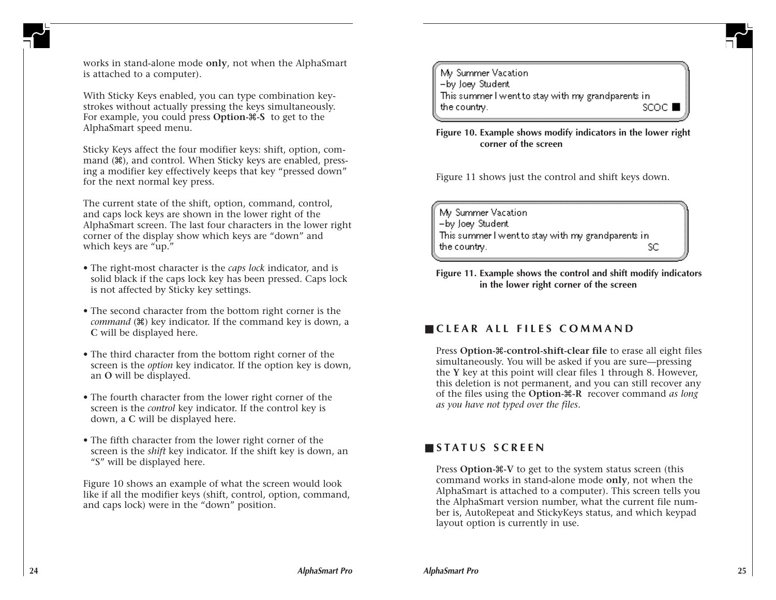

works in stand-alone mode **only**, not when the AlphaSmart is attached to a computer).

With Sticky Keys enabled, you can type combination keystrokes without actually pressing the keys simultaneously. For example, you could press **Option-**x**-S** to get to the AlphaSmart speed menu.

Sticky Keys affect the four modifier keys: shift, option, command  $(\mathbb{H})$ , and control. When Sticky keys are enabled, pressing a modifier key effectively keeps that key "pressed down" for the next normal key press.

The current state of the shift, option, command, control, and caps lock keys are shown in the lower right of the AlphaSmart screen. The last four characters in the lower right corner of the display show which keys are "down" and which keys are "up."

- The right-most character is the *caps lock* indicator, and is solid black if the caps lock key has been pressed. Caps lock is not affected by Sticky key settings.
- The second character from the bottom right corner is the *command* ( $\mathcal{H}$ ) key indicator. If the command key is down, a **C** will be displayed here.
- The third character from the bottom right corner of the screen is the *option* key indicator. If the option key is down, an **O** will be displayed.
- The fourth character from the lower right corner of the screen is the *control* key indicator. If the control key is down, a **C** will be displayed here.
- The fifth character from the lower right corner of the screen is the *shift* key indicator. If the shift key is down, an "S" will be displayed here.

Figure 10 shows an example of what the screen would look like if all the modifier keys (shift, control, option, command, and caps lock) were in the "down" position.



**Figure 10. Example shows modify indicators in the lower right corner of the screen**

Figure 11 shows just the control and shift keys down.

Mv Summer Vacation -by Joey Student This summer I went to stay with my grandparents in the country. SC

**Figure 11. Example shows the control and shift modify indicators in the lower right corner of the screen**

# ■ **CLEAR ALL FILES COMMAND**

Press **Option-**x**-control-shift-clear file** to erase all eight files simultaneously. You will be asked if you are sure—pressing the **Y** key at this point will clear files 1 through 8. However, this deletion is not permanent, and you can still recover any of the files using the **Option-**x**-R** recover command *as long as you have not typed over the files*.

# ■ **STATUS SCREEN**

Press **Option-** $\mathcal{X}$ -V to get to the system status screen (this command works in stand-alone mode **only**, not when the AlphaSmart is attached to a computer). This screen tells you the AlphaSmart version number, what the current file number is, AutoRepeat and StickyKeys status, and which keypad layout option is currently in use.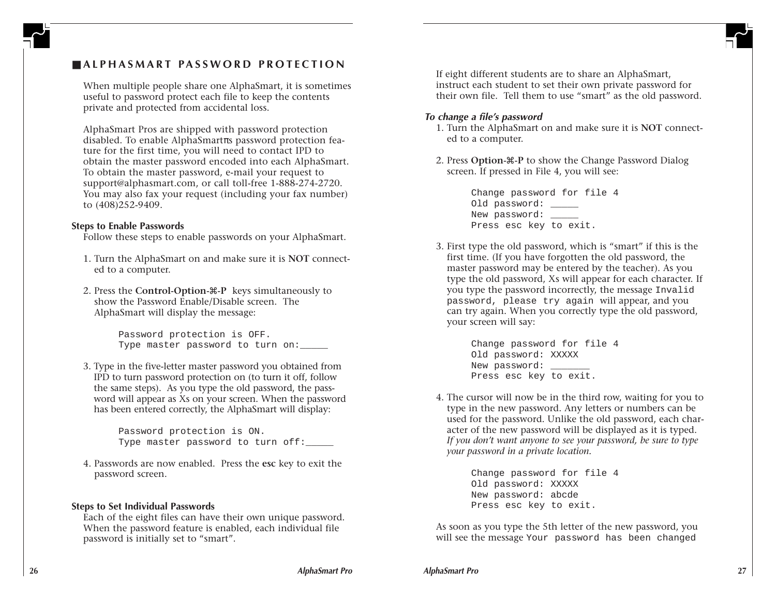# ■ **ALPHASMART PASSWORD PROTECTION**

When multiple people share one AlphaSmart, it is sometimes useful to password protect each file to keep the contents private and protected from accidental loss.

AlphaSmart Pros are shipped with password protection disabled. To enable AlphaSmartπs password protection feature for the first time, you will need to contact IPD to obtain the master password encoded into each AlphaSmart. To obtain the master password, e-mail your request to support@alphasmart.com, or call toll-free 1-888-274-2720. You may also fax your request (including your fax number) to (408)252-9409.

#### **Steps to Enable Passwords**

Follow these steps to enable passwords on your AlphaSmart.

- 1. Turn the AlphaSmart on and make sure it is **NOT** connected to a computer.
- 2. Press the **Control-Option-**x**-P** keys simultaneously to show the Password Enable/Disable screen. The AlphaSmart will display the message:

Password protection is OFF. Type master password to turn on:

3. Type in the five-letter master password you obtained from IPD to turn password protection on (to turn it off, follow the same steps). As you type the old password, the password will appear as Xs on your screen. When the password has been entered correctly, the AlphaSmart will display:

> Password protection is ON. Type master password to turn off:

4. Passwords are now enabled. Press the **esc** key to exit the password screen.

#### **Steps to Set Individual Passwords**

Each of the eight files can have their own unique password. When the password feature is enabled, each individual file password is initially set to "smart".

If eight different students are to share an AlphaSmart, instruct each student to set their own private password for their own file. Tell them to use "smart" as the old password.

#### **To change a file's password**

- 1. Turn the AlphaSmart on and make sure it is **NOT** connected to a computer.
- 2. Press **Option-**x**-P** to show the Change Password Dialog screen. If pressed in File 4, you will see:

Change password for file 4 Old password: \_\_\_\_\_ New password: \_\_\_\_\_ Press esc key to exit.

3. First type the old password, which is "smart" if this is the first time. (If you have forgotten the old password, the master password may be entered by the teacher). As you type the old password, Xs will appear for each character. If you type the password incorrectly, the message Invalid password, please try again will appear, and you can try again. When you correctly type the old password, your screen will say:

> Change password for file 4 Old password: XXXXX New password: Press esc key to exit.

4. The cursor will now be in the third row, waiting for you to type in the new password. Any letters or numbers can be used for the password. Unlike the old password, each character of the new password will be displayed as it is typed. *If you don't want anyone to see your password, be sure to type your password in a private location.*

> Change password for file 4 Old password: XXXXX New password: abcde Press esc key to exit.

As soon as you type the 5th letter of the new password, you will see the message Your password has been changed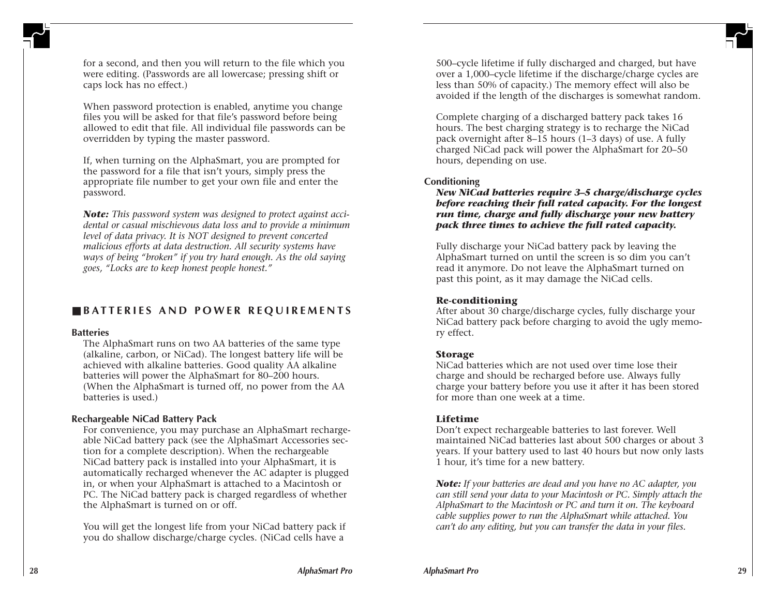

for a second, and then you will return to the file which you were editing. (Passwords are all lowercase; pressing shift or caps lock has no effect.)

When password protection is enabled, anytime you change files you will be asked for that file's password before being allowed to edit that file. All individual file passwords can be overridden by typing the master password.

If, when turning on the AlphaSmart, you are prompted for the password for a file that isn't yours, simply press the appropriate file number to get your own file and enter the password.

*Note: This password system was designed to protect against accidental or casual mischievous data loss and to provide a minimum level of data privacy. It is NOT designed to prevent concerted malicious efforts at data destruction. All security systems have ways of being "broken" if you try hard enough. As the old saying goes, "Locks are to keep honest people honest."*

# ■ **BATTERIES AND POWER REQUIREMENTS**

### **Batteries**

The AlphaSmart runs on two AA batteries of the same type (alkaline, carbon, or NiCad). The longest battery life will be achieved with alkaline batteries. Good quality AA alkaline batteries will power the AlphaSmart for 80–200 hours. (When the AlphaSmart is turned off, no power from the AA batteries is used.)

# **Rechargeable NiCad Battery Pack**

For convenience, you may purchase an AlphaSmart rechargeable NiCad battery pack (see the AlphaSmart Accessories section for a complete description). When the rechargeable NiCad battery pack is installed into your AlphaSmart, it is automatically recharged whenever the AC adapter is plugged in, or when your AlphaSmart is attached to a Macintosh or PC. The NiCad battery pack is charged regardless of whether the AlphaSmart is turned on or off.

You will get the longest life from your NiCad battery pack if you do shallow discharge/charge cycles. (NiCad cells have a

500–cycle lifetime if fully discharged and charged, but have over a 1,000–cycle lifetime if the discharge/charge cycles are less than 50% of capacity.) The memory effect will also be avoided if the length of the discharges is somewhat random.

Complete charging of a discharged battery pack takes 16 hours. The best charging strategy is to recharge the NiCad pack overnight after 8–15 hours (1–3 days) of use. A fully charged NiCad pack will power the AlphaSmart for 20–50 hours, depending on use.

# **Conditioning**

*New NiCad batteries require 3–5 charge/discharge cycles before reaching their full rated capacity. For the longest run time, charge and fully discharge your new battery pack three times to achieve the full rated capacity.*

Fully discharge your NiCad battery pack by leaving the AlphaSmart turned on until the screen is so dim you can't read it anymore. Do not leave the AlphaSmart turned on past this point, as it may damage the NiCad cells.

# **Re-conditioning**

After about 30 charge/discharge cycles, fully discharge your NiCad battery pack before charging to avoid the ugly memory effect.

# **Storage**

NiCad batteries which are not used over time lose their charge and should be recharged before use. Always fully charge your battery before you use it after it has been stored for more than one week at a time.

# **Lifetime**

Don't expect rechargeable batteries to last forever. Well maintained NiCad batteries last about 500 charges or about 3 years. If your battery used to last 40 hours but now only lasts 1 hour, it's time for a new battery.

*Note: If your batteries are dead and you have no AC adapter, you can still send your data to your Macintosh or PC. Simply attach the AlphaSmart to the Macintosh or PC and turn it on. The keyboard cable supplies power to run the AlphaSmart while attached. You can't do any editing, but you can transfer the data in your files.*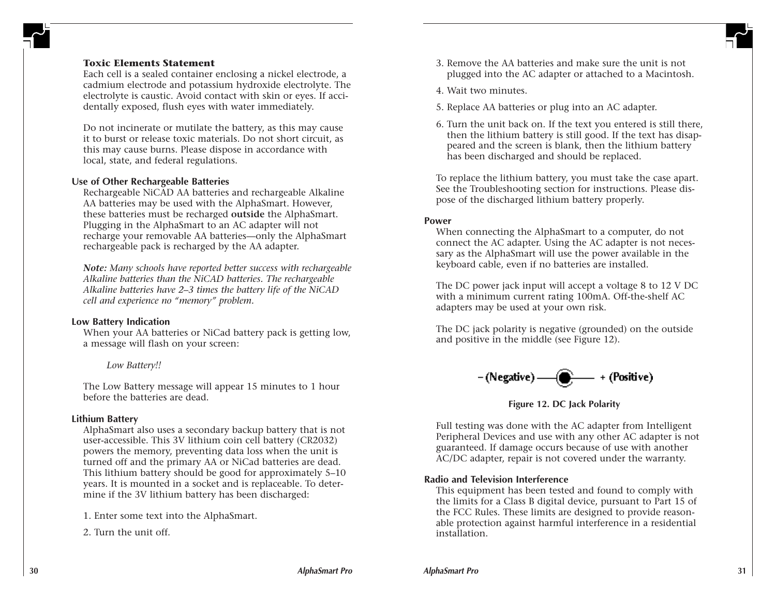### **Toxic Elements Statement**

Each cell is a sealed container enclosing a nickel electrode, a cadmium electrode and potassium hydroxide electrolyte. The electrolyte is caustic. Avoid contact with skin or eyes. If accidentally exposed, flush eyes with water immediately.

Do not incinerate or mutilate the battery, as this may cause it to burst or release toxic materials. Do not short circuit, as this may cause burns. Please dispose in accordance with local, state, and federal regulations.

#### **Use of Other Rechargeable Batteries**

Rechargeable NiCAD AA batteries and rechargeable Alkaline AA batteries may be used with the AlphaSmart. However, these batteries must be recharged **outside** the AlphaSmart. Plugging in the AlphaSmart to an AC adapter will not recharge your removable AA batteries—only the AlphaSmart rechargeable pack is recharged by the AA adapter.

*Note: Many schools have reported better success with rechargeable Alkaline batteries than the NiCAD batteries. The rechargeable Alkaline batteries have 2–3 times the battery life of the NiCAD cell and experience no "memory" problem.*

#### **Low Battery Indication**

When your AA batteries or NiCad battery pack is getting low, a message will flash on your screen:

*Low Battery!!*

The Low Battery message will appear 15 minutes to 1 hour before the batteries are dead.

#### **Lithium Battery**

AlphaSmart also uses a secondary backup battery that is not user-accessible. This 3V lithium coin cell battery (CR2032) powers the memory, preventing data loss when the unit is turned off and the primary AA or NiCad batteries are dead. This lithium battery should be good for approximately 5–10 years. It is mounted in a socket and is replaceable. To determine if the 3V lithium battery has been discharged:

1. Enter some text into the AlphaSmart.

2. Turn the unit off.

- 3. Remove the AA batteries and make sure the unit is not plugged into the AC adapter or attached to a Macintosh.
- 4. Wait two minutes.
- 5. Replace AA batteries or plug into an AC adapter.
- 6. Turn the unit back on. If the text you entered is still there, then the lithium battery is still good. If the text has disappeared and the screen is blank, then the lithium battery has been discharged and should be replaced.

To replace the lithium battery, you must take the case apart. See the Troubleshooting section for instructions. Please dispose of the discharged lithium battery properly.

#### **Power**

When connecting the AlphaSmart to a computer, do not connect the AC adapter. Using the AC adapter is not necessary as the AlphaSmart will use the power available in the keyboard cable, even if no batteries are installed.

The DC power jack input will accept a voltage 8 to 12 V DC with a minimum current rating 100mA. Off-the-shelf AC adapters may be used at your own risk.

The DC jack polarity is negative (grounded) on the outside and positive in the middle (see Figure 12).

$$
-(\text{Negative}) \textcolor{red}{\boldsymbol{\cdot}} \textcolor{red}{\boldsymbol{\cdot}} (\text{Positive})
$$

**Figure 12. DC Jack Polarity**

Full testing was done with the AC adapter from Intelligent Peripheral Devices and use with any other AC adapter is not guaranteed. If damage occurs because of use with another AC/DC adapter, repair is not covered under the warranty.

### **Radio and Television Interference**

This equipment has been tested and found to comply with the limits for a Class B digital device, pursuant to Part 15 of the FCC Rules. These limits are designed to provide reasonable protection against harmful interference in a residential installation.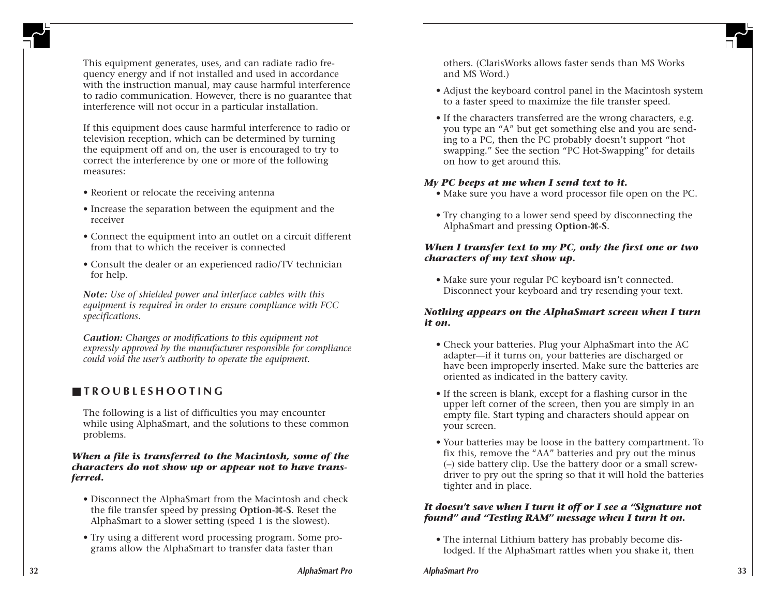This equipment generates, uses, and can radiate radio frequency energy and if not installed and used in accordance with the instruction manual, may cause harmful interference to radio communication. However, there is no guarantee that interference will not occur in a particular installation.

If this equipment does cause harmful interference to radio or television reception, which can be determined by turning the equipment off and on, the user is encouraged to try to correct the interference by one or more of the following measures:

- Reorient or relocate the receiving antenna
- Increase the separation between the equipment and the receiver
- Connect the equipment into an outlet on a circuit different from that to which the receiver is connected
- Consult the dealer or an experienced radio/TV technician for help.

*Note: Use of shielded power and interface cables with this equipment is required in order to ensure compliance with FCC specifications.*

*Caution: Changes or modifications to this equipment not expressly approved by the manufacturer responsible for compliance could void the user's authority to operate the equipment.*

# ■ **TROUBLESHOOTING**

The following is a list of difficulties you may encounter while using AlphaSmart, and the solutions to these common problems.

### *When a file is transferred to the Macintosh, some of the characters do not show up or appear not to have transferred.*

- Disconnect the AlphaSmart from the Macintosh and check the file transfer speed by pressing **Option-**x**-S**. Reset the AlphaSmart to a slower setting (speed 1 is the slowest).
- Try using a different word processing program. Some programs allow the AlphaSmart to transfer data faster than

others. (ClarisWorks allows faster sends than MS Works and MS Word.)

- Adjust the keyboard control panel in the Macintosh system to a faster speed to maximize the file transfer speed.
- If the characters transferred are the wrong characters, e.g. you type an "A" but get something else and you are sending to a PC, then the PC probably doesn't support "hot swapping." See the section "PC Hot-Swapping" for details on how to get around this.

# *My PC beeps at me when I send text to it.*

- Make sure you have a word processor file open on the PC.
- Try changing to a lower send speed by disconnecting the AlphaSmart and pressing **Option-**x**-S**.

# *When I transfer text to my PC, only the first one or two characters of my text show up.*

• Make sure your regular PC keyboard isn't connected. Disconnect your keyboard and try resending your text.

# *Nothing appears on the AlphaSmart screen when I turn it on.*

- Check your batteries. Plug your AlphaSmart into the AC adapter—if it turns on, your batteries are discharged or have been improperly inserted. Make sure the batteries are oriented as indicated in the battery cavity.
- If the screen is blank, except for a flashing cursor in the upper left corner of the screen, then you are simply in an empty file. Start typing and characters should appear on your screen.
- Your batteries may be loose in the battery compartment. To fix this, remove the "AA" batteries and pry out the minus (–) side battery clip. Use the battery door or a small screwdriver to pry out the spring so that it will hold the batteries tighter and in place.

### *It doesn't save when I turn it off or I see a "Signature not found" and "Testing RAM" message when I turn it on.*

• The internal Lithium battery has probably become dislodged. If the AlphaSmart rattles when you shake it, then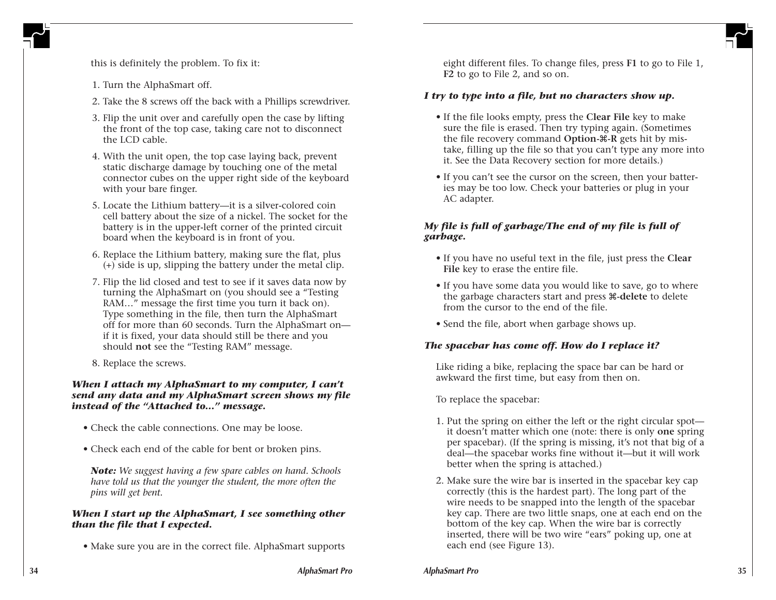

this is definitely the problem. To fix it:

- 1. Turn the AlphaSmart off.
- 2. Take the 8 screws off the back with a Phillips screwdriver.
- 3. Flip the unit over and carefully open the case by lifting the front of the top case, taking care not to disconnect the LCD cable.
- 4. With the unit open, the top case laying back, prevent static discharge damage by touching one of the metal connector cubes on the upper right side of the keyboard with your bare finger.
- 5. Locate the Lithium battery—it is a silver-colored coin cell battery about the size of a nickel. The socket for the battery is in the upper-left corner of the printed circuit board when the keyboard is in front of you.
- 6. Replace the Lithium battery, making sure the flat, plus (+) side is up, slipping the battery under the metal clip.
- 7. Flip the lid closed and test to see if it saves data now by turning the AlphaSmart on (you should see a "Testing RAM…" message the first time you turn it back on). Type something in the file, then turn the AlphaSmart off for more than 60 seconds. Turn the AlphaSmart on if it is fixed, your data should still be there and you should **not** see the "Testing RAM" message.
- 8. Replace the screws.

### *When I attach my AlphaSmart to my computer, I can't send any data and my AlphaSmart screen shows my file instead of the "Attached to…" message.*

- Check the cable connections. One may be loose.
- Check each end of the cable for bent or broken pins.

*Note: We suggest having a few spare cables on hand. Schools have told us that the younger the student, the more often the pins will get bent.*

### *When I start up the AlphaSmart, I see something other than the file that I expected.*

• Make sure you are in the correct file. AlphaSmart supports

eight different files. To change files, press **F1** to go to File 1, **F2** to go to File 2, and so on.

### *I try to type into a file, but no characters show up.*

- If the file looks empty, press the **Clear File** key to make sure the file is erased. Then try typing again. (Sometimes the file recovery command **Option-** $\mathcal{R}$ -R gets hit by mistake, filling up the file so that you can't type any more into it. See the Data Recovery section for more details.)
- If you can't see the cursor on the screen, then your batteries may be too low. Check your batteries or plug in your AC adapter.

# *My file is full of garbage/The end of my file is full of garbage.*

- If you have no useful text in the file, just press the **Clear File** key to erase the entire file.
- If you have some data you would like to save, go to where the garbage characters start and press x**-delete** to delete from the cursor to the end of the file.
- Send the file, abort when garbage shows up.

### *The spacebar has come off. How do I replace it?*

Like riding a bike, replacing the space bar can be hard or awkward the first time, but easy from then on.

To replace the spacebar:

- 1. Put the spring on either the left or the right circular spot it doesn't matter which one (note: there is only **one** spring per spacebar). (If the spring is missing, it's not that big of a deal—the spacebar works fine without it—but it will work better when the spring is attached.)
- 2. Make sure the wire bar is inserted in the spacebar key cap correctly (this is the hardest part). The long part of the wire needs to be snapped into the length of the spacebar key cap. There are two little snaps, one at each end on the bottom of the key cap. When the wire bar is correctly inserted, there will be two wire "ears" poking up, one at each end (see Figure 13).

**AlphaSmart Pro 35**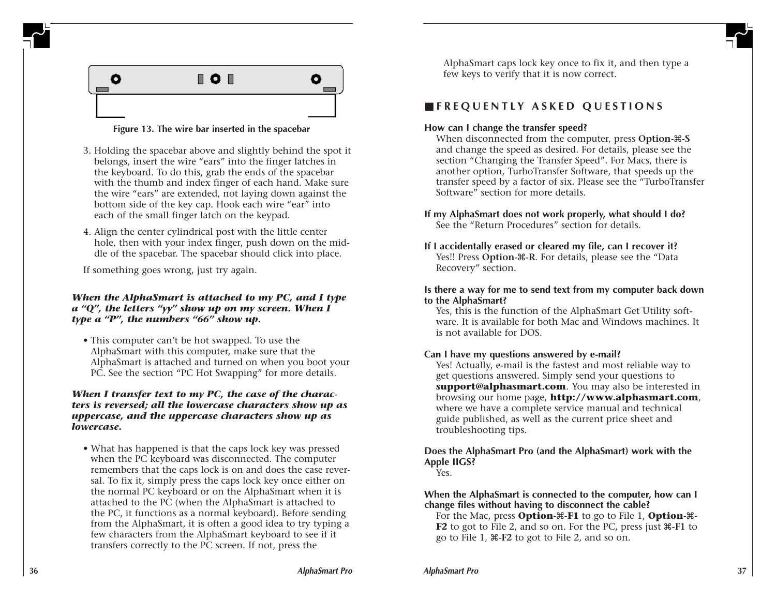

### **Figure 13. The wire bar inserted in the spacebar**

- 3. Holding the spacebar above and slightly behind the spot it belongs, insert the wire "ears" into the finger latches in the keyboard. To do this, grab the ends of the spacebar with the thumb and index finger of each hand. Make sure the wire "ears" are extended, not laying down against the bottom side of the key cap. Hook each wire "ear" into each of the small finger latch on the keypad.
- 4. Align the center cylindrical post with the little center hole, then with your index finger, push down on the middle of the spacebar. The spacebar should click into place.

If something goes wrong, just try again.

### *When the AlphaSmart is attached to my PC, and I type a "Q", the letters "yy" show up on my screen. When I type a "P", the numbers "66" show up.*

• This computer can't be hot swapped. To use the AlphaSmart with this computer, make sure that the AlphaSmart is attached and turned on when you boot your PC. See the section "PC Hot Swapping" for more details.

### *When I transfer text to my PC, the case of the characters is reversed; all the lowercase characters show up as uppercase, and the uppercase characters show up as lowercase.*

• What has happened is that the caps lock key was pressed when the PC keyboard was disconnected. The computer remembers that the caps lock is on and does the case reversal. To fix it, simply press the caps lock key once either on the normal PC keyboard or on the AlphaSmart when it is attached to the PC (when the AlphaSmart is attached to the PC, it functions as a normal keyboard). Before sending from the AlphaSmart, it is often a good idea to try typing a few characters from the AlphaSmart keyboard to see if it transfers correctly to the PC screen. If not, press the

AlphaSmart caps lock key once to fix it, and then type a few keys to verify that it is now correct.

# ■ **FREQUENTLY ASKED QUESTIONS**

### **How can I change the transfer speed?**

When disconnected from the computer, press **Option-**x**-S** and change the speed as desired. For details, please see the section "Changing the Transfer Speed". For Macs, there is another option, TurboTransfer Software, that speeds up the transfer speed by a factor of six. Please see the "TurboTransfer Software" section for more details.

### **If my AlphaSmart does not work properly, what should I do?** See the "Return Procedures" section for details.

**If I accidentally erased or cleared my file, can I recover it?** Yes!! Press Option- $\mathcal{R}$ -R. For details, please see the "Data" Recovery" section.

### **Is there a way for me to send text from my computer back down to the AlphaSmart?**

Yes, this is the function of the AlphaSmart Get Utility software. It is available for both Mac and Windows machines. It is not available for DOS.

# **Can I have my questions answered by e-mail?**

Yes! Actually, e-mail is the fastest and most reliable way to get questions answered. Simply send your questions to **support@alphasmart.com**. You may also be interested in browsing our home page, **http://www.alphasmart.com**, where we have a complete service manual and technical guide published, as well as the current price sheet and troubleshooting tips.

# **Does the AlphaSmart Pro (and the AlphaSmart) work with the Apple IIGS?**

### Yes.

**When the AlphaSmart is connected to the computer, how can I change files without having to disconnect the cable?**

For the Mac, press **Option-** $\mathcal{R}$ -F1 to go to File 1, **Option-** $\mathcal{R}$ -**F2** to got to File 2, and so on. For the PC, press just  $\mathcal{F}$ -F1 to go to File 1, x**-F2** to got to File 2, and so on.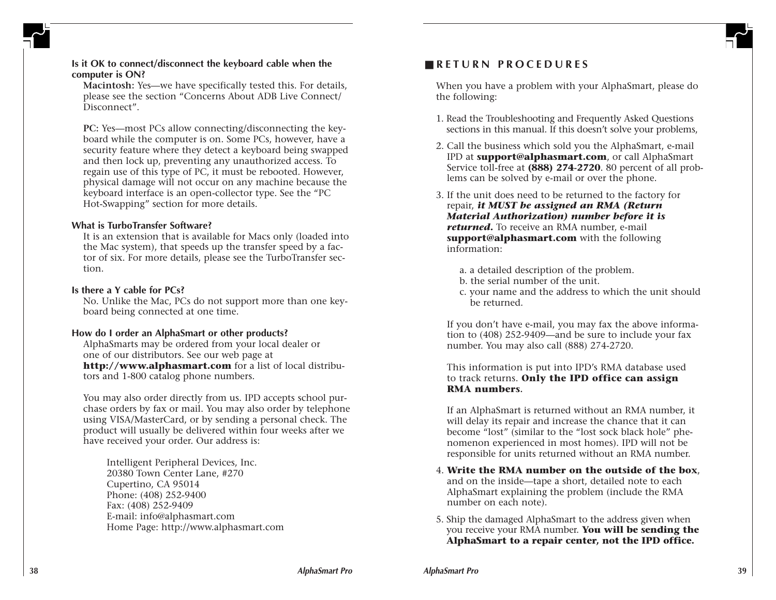

# **Is it OK to connect/disconnect the keyboard cable when the computer is ON?**

**Macintosh:** Yes—we have specifically tested this. For details, please see the section "Concerns About ADB Live Connect/ Disconnect".

**PC:** Yes—most PCs allow connecting/disconnecting the keyboard while the computer is on. Some PCs, however, have a security feature where they detect a keyboard being swapped and then lock up, preventing any unauthorized access. To regain use of this type of PC, it must be rebooted. However, physical damage will not occur on any machine because the keyboard interface is an open-collector type. See the "PC Hot-Swapping" section for more details.

#### **What is TurboTransfer Software?**

It is an extension that is available for Macs only (loaded into the Mac system), that speeds up the transfer speed by a factor of six. For more details, please see the TurboTransfer section.

#### **Is there a Y cable for PCs?**

No. Unlike the Mac, PCs do not support more than one keyboard being connected at one time.

#### **How do I order an AlphaSmart or other products?**

AlphaSmarts may be ordered from your local dealer or one of our distributors. See our web page at **http://www.alphasmart.com** for a list of local distributors and 1-800 catalog phone numbers.

You may also order directly from us. IPD accepts school purchase orders by fax or mail. You may also order by telephone using VISA/MasterCard, or by sending a personal check. The product will usually be delivered within four weeks after we have received your order. Our address is:

Intelligent Peripheral Devices, Inc. 20380 Town Center Lane, #270 Cupertino, CA 95014 Phone: (408) 252-9400 Fax: (408) 252-9409 E-mail: info@alphasmart.com Home Page: http://www.alphasmart.com

# ■ **RETURN PROCEDURES**

When you have a problem with your AlphaSmart, please do the following:

- 1. Read the Troubleshooting and Frequently Asked Questions sections in this manual. If this doesn't solve your problems,
- 2. Call the business which sold you the AlphaSmart, e-mail IPD at **support@alphasmart.com**, or call AlphaSmart Service toll-free at **(888) 274-2720**. 80 percent of all problems can be solved by e-mail or over the phone.
- 3. If the unit does need to be returned to the factory for repair, *it MUST be assigned an RMA (Return Material Authorization) number before it is returned.* To receive an RMA number, e-mail **support@alphasmart.com** with the following information:
	- a. a detailed description of the problem.
	- b. the serial number of the unit.
	- c. your name and the address to which the unit should be returned.

If you don't have e-mail, you may fax the above information to (408) 252-9409—and be sure to include your fax number. You may also call (888) 274-2720.

This information is put into IPD's RMA database used to track returns. **Only the IPD office can assign RMA numbers.**

If an AlphaSmart is returned without an RMA number, it will delay its repair and increase the chance that it can become "lost" (similar to the "lost sock black hole" phenomenon experienced in most homes). IPD will not be responsible for units returned without an RMA number.

- 4. **Write the RMA number on the outside of the box**, and on the inside—tape a short, detailed note to each AlphaSmart explaining the problem (include the RMA number on each note).
- 5. Ship the damaged AlphaSmart to the address given when you receive your RMA number. **You will be sending the AlphaSmart to a repair center, not the IPD office.**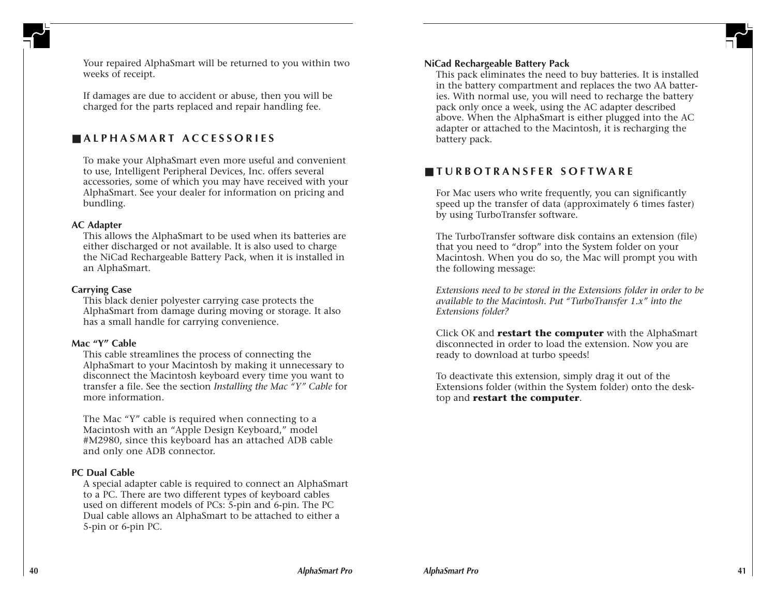

Your repaired AlphaSmart will be returned to you within two weeks of receipt.

If damages are due to accident or abuse, then you will be charged for the parts replaced and repair handling fee.

# ■ **ALPHASMART ACCESSORIES**

To make your AlphaSmart even more useful and convenient to use, Intelligent Peripheral Devices, Inc. offers several accessories, some of which you may have received with your AlphaSmart. See your dealer for information on pricing and bundling.

#### **AC Adapter**

This allows the AlphaSmart to be used when its batteries are either discharged or not available. It is also used to charge the NiCad Rechargeable Battery Pack, when it is installed in an AlphaSmart.

#### **Carrying Case**

This black denier polyester carrying case protects the AlphaSmart from damage during moving or storage. It also has a small handle for carrying convenience.

### **Mac "Y" Cable**

This cable streamlines the process of connecting the AlphaSmart to your Macintosh by making it unnecessary to disconnect the Macintosh keyboard every time you want to transfer a file. See the section *Installing the Mac "Y" Cable* for more information.

The Mac "Y" cable is required when connecting to a Macintosh with an "Apple Design Keyboard," model #M2980, since this keyboard has an attached ADB cable and only one ADB connector.

#### **PC Dual Cable**

A special adapter cable is required to connect an AlphaSmart to a PC. There are two different types of keyboard cables used on different models of PCs: 5-pin and 6-pin. The PC Dual cable allows an AlphaSmart to be attached to either a 5-pin or 6-pin PC.

#### **NiCad Rechargeable Battery Pack**

This pack eliminates the need to buy batteries. It is installed in the battery compartment and replaces the two AA batteries. With normal use, you will need to recharge the battery pack only once a week, using the AC adapter described above. When the AlphaSmart is either plugged into the AC adapter or attached to the Macintosh, it is recharging the battery pack.

# ■ **TURBOTRANSFER SOFTWARE**

For Mac users who write frequently, you can significantly speed up the transfer of data (approximately 6 times faster) by using TurboTransfer software.

The TurboTransfer software disk contains an extension (file) that you need to "drop" into the System folder on your Macintosh. When you do so, the Mac will prompt you with the following message:

*Extensions need to be stored in the Extensions folder in order to be available to the Macintosh. Put "TurboTransfer 1.x" into the Extensions folder?*

Click OK and **restart the computer** with the AlphaSmart disconnected in order to load the extension. Now you are ready to download at turbo speeds!

To deactivate this extension, simply drag it out of the Extensions folder (within the System folder) onto the desktop and **restart the computer**.